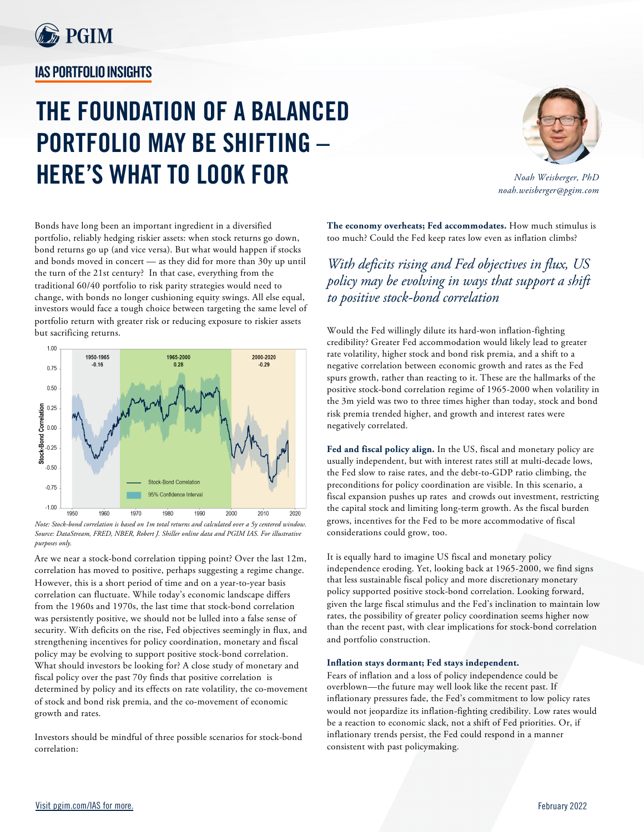

## **IAS PORTFOLIO INSIGHTS**

## **THE FOUNDATION OF A BALANCED PORTFOLIO MAY BE SHIFTING – HERE'S WHAT TO LOOK FOR**



*Noah Weisberger, PhD noah.weisberger@pgim.com*

Bonds have long been an important ingredient in a diversified portfolio, reliably hedging riskier assets: when stock returns go down, bond returns go up (and vice versa). But what would happen if stocks and bonds moved in concert — as they did for more than 30y up until the turn of the 21st century? In that case, everything from the traditional 60/40 portfolio to risk parity strategies would need to change, with bonds no longer cushioning equity swings. All else equal, investors would face a tough choice between targeting the same level of portfolio return with greater risk or reducing exposure to riskier assets but sacrificing returns.



*Note: Stock-bond correlation is based on 1m total returns and calculated over a 5y centered window. Source: DataStream, FRED, NBER, Robert J. Shiller online data and PGIM IAS. For illustrative purposes only.*

Are we near a stock-bond correlation tipping point? Over the last 12m, correlation has moved to positive, perhaps suggesting a regime change. However, this is a short period of time and on a year-to-year basis correlation can fluctuate. While today's economic landscape differs from the 1960s and 1970s, the last time that stock-bond correlation was persistently positive, we should not be lulled into a false sense of security. With deficits on the rise, Fed objectives seemingly in flux, and strengthening incentives for policy coordination, monetary and fiscal policy may be evolving to support positive stock-bond correlation. What should investors be looking for? A close study of monetary and fiscal policy over the past 70y finds that positive correlation is determined by policy and its effects on rate volatility, the co-movement of stock and bond risk premia, and the co-movement of economic growth and rates.

Investors should be mindful of three possible scenarios for stock-bond correlation:

**The economy overheats; Fed accommodates.** How much stimulus is too much? Could the Fed keep rates low even as inflation climbs?

*With deficits rising and Fed objectives in flux, US policy may be evolving in ways that support a shift to positive stock-bond correlation* 

Would the Fed willingly dilute its hard-won inflation-fighting credibility? Greater Fed accommodation would likely lead to greater rate volatility, higher stock and bond risk premia, and a shift to a negative correlation between economic growth and rates as the Fed spurs growth, rather than reacting to it. These are the hallmarks of the positive stock-bond correlation regime of 1965-2000 when volatility in the 3m yield was two to three times higher than today, stock and bond risk premia trended higher, and growth and interest rates were negatively correlated.

**Fed and fiscal policy align.** In the US, fiscal and monetary policy are usually independent, but with interest rates still at multi-decade lows, the Fed slow to raise rates, and the debt-to-GDP ratio climbing, the preconditions for policy coordination are visible. In this scenario, a fiscal expansion pushes up rates and crowds out investment, restricting the capital stock and limiting long-term growth. As the fiscal burden grows, incentives for the Fed to be more accommodative of fiscal considerations could grow, too.

It is equally hard to imagine US fiscal and monetary policy independence eroding. Yet, looking back at 1965-2000, we find signs that less sustainable fiscal policy and more discretionary monetary policy supported positive stock-bond correlation. Looking forward, given the large fiscal stimulus and the Fed's inclination to maintain low rates, the possibility of greater policy coordination seems higher now than the recent past, with clear implications for stock-bond correlation and portfolio construction.

## **Inflation stays dormant; Fed stays independent.**

Fears of inflation and a loss of policy independence could be overblown—the future may well look like the recent past. If inflationary pressures fade, the Fed's commitment to low policy rates would not jeopardize its inflation-fighting credibility. Low rates would be a reaction to economic slack, not a shift of Fed priorities. Or, if inflationary trends persist, the Fed could respond in a manner consistent with past policymaking.